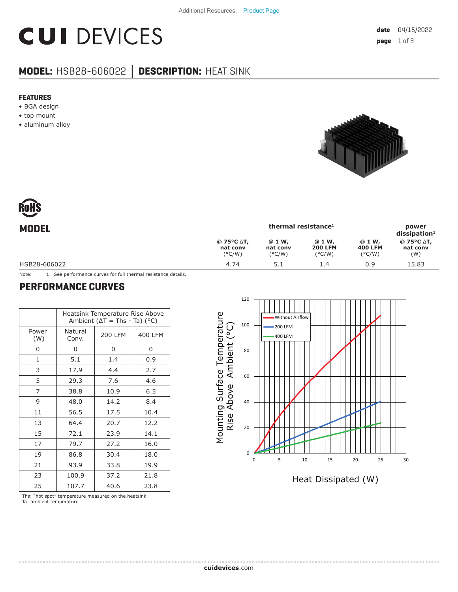# **CUI DEVICES**

### **MODEL:** HSB28-606022 **│ DESCRIPTION:** HEAT SINK

#### **FEATURES**

- BGA design
- top mount
- aluminum alloy



| Rohs  |  |
|-------|--|
| MNNFI |  |

| <b>MODEL</b> | thermal resistance <sup>1</sup>                                                |                                        |                                             |                                             | power<br>$dis$ sipation <sup>1</sup> |
|--------------|--------------------------------------------------------------------------------|----------------------------------------|---------------------------------------------|---------------------------------------------|--------------------------------------|
|              | @ 75 $\mathrm{^{\circ}C}$ $\mathrm{\Delta}$ T,<br>nat conv<br>$(^{\circ}$ C/W) | @ 1 W,<br>nat conv<br>$(^{\circ}$ C/W) | @ 1 W,<br><b>200 LFM</b><br>$(^{\circ}C/W)$ | @ 1 W,<br><b>400 LFM</b><br>$(^{\circ}C/W)$ | @ 75°C ∆T,<br>nat conv<br>(W)        |
| HSB28-606022 | 4.74                                                                           | 5.1                                    | 1.4                                         | 0.9                                         | 15.83                                |
|              |                                                                                |                                        |                                             |                                             |                                      |

Note: 1. See performance curves for full thermal resistance details.

#### **PERFORMANCE CURVES**

|              | Heatsink Temperature Rise Above<br>Ambient ( $\Delta T$ = Ths - Ta) (°C) |                |         |  |  |
|--------------|--------------------------------------------------------------------------|----------------|---------|--|--|
| Power<br>(W) | Natural<br>Conv.                                                         | <b>200 LFM</b> | 400 LFM |  |  |
| 0            | 0                                                                        | 0              | 0       |  |  |
| 1            | 5.1                                                                      | 1.4            | 0.9     |  |  |
| 3            | 17.9                                                                     | 4.4            | 2.7     |  |  |
| 5            | 29.3                                                                     | 7.6            | 4.6     |  |  |
| 7            | 38.8                                                                     | 10.9           | 6.5     |  |  |
| 9            | 48.0                                                                     | 14.2           | 8.4     |  |  |
| 11           | 56.5                                                                     | 17.5           | 10.4    |  |  |
| 13           | 64.4                                                                     | 20.7           | 12.2    |  |  |
| 15           | 72.1                                                                     | 23.9           | 14.1    |  |  |
| 17           | 79.7                                                                     | 27.2           | 16.0    |  |  |
| 19           | 86.8                                                                     | 30.4           | 18.0    |  |  |
| 21           | 93.9                                                                     | 33.8           | 19.9    |  |  |
| 23           | 100.9                                                                    | 37.2           | 21.8    |  |  |
| 25           | 107.7                                                                    | 40.6           | 23.8    |  |  |

Mounting Surface Temperature Mounting Surface Temperature Rise Above Ambient (°C) Rise Above Ambient (°C)



Ths: "hot spot" temperature measured on the heatsink Ta: ambient temperature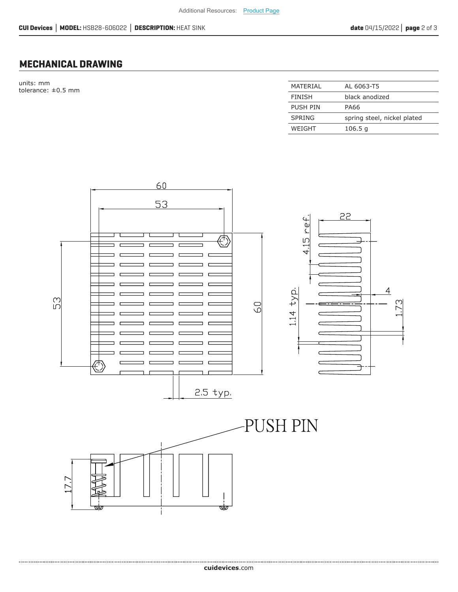#### **MECHANICAL DRAWING**

units: mm tolerance:  $\pm 0.5$  mm

| MATFRIAI      | AL 6063-T5                  |
|---------------|-----------------------------|
| <b>FINISH</b> | black anodized              |
| PUSH PIN      | PA66                        |
| SPRING        | spring steel, nickel plated |
| WEIGHT        | 106.5 <sub>q</sub>          |